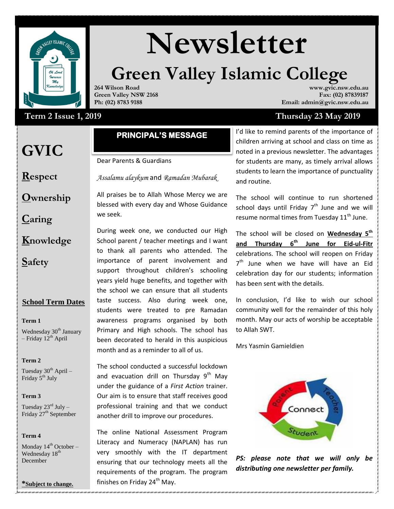

# **Newsletter**

# **Green Valley Islamic College www.gvic.nsw.edu.au**

**264 Wilson Road Green Valley NSW 2168 Ph: (02) 8783 9188**

# Term 2 Issue 1, 2019

# **GVIC**

# **PRINCIPAL'S MESSAGE**

Dear Parents & Guardians

**Respect**

**Ownership**

**Caring**

- **Knowledge**
- **Safety**

## **School Term Dates**

**Term 1** 

Wednesday 30<sup>th</sup> January – Friday  $12^{th}$  April

#### **Term 2**

Tuesday  $30^{th}$  April – Friday 5<sup>th</sup> July

#### **Term 3**

Tuesday  $23^{\text{rd}}$  July – Friday 27<sup>th</sup> September

#### **Term 4**

Monday  $14^{th}$  October – Wednesday 18<sup>th</sup> December

**\*Subject to change.**

I'd like to remind parents of the importance of children arriving at school and class on time as noted in a previous newsletter. The advantages for students are many, as timely arrival allows students to learn the importance of punctuality and routine.

**Fax: (02) 87839187**

**Email: admin@gvic.nsw.edu.au**

**Thursday 23 May 2019** 

The school will continue to run shortened school days until Friday  $7<sup>th</sup>$  June and we will resume normal times from Tuesday  $11<sup>th</sup>$  June.

The school will be closed on **Wednesday 5th and Thursday 6th June for Eid-ul-Fitr** celebrations. The school will reopen on Friday 7<sup>th</sup> June when we have will have an Eid celebration day for our students; information has been sent with the details.

In conclusion, I'd like to wish our school community well for the remainder of this holy month. May our acts of worship be acceptable to Allah SWT.

Mrs Yasmin Gamieldien



*PS: please note that we will only be distributing one newsletter per family.*

Assalaam Alaikum WRWB

*Assalamu alaykum* and *Ramadan Mubarak*

All praises be to Allah Whose Mercy we are blessed with every day and Whose Guidance we seek.

During week one, we conducted our High School parent / teacher meetings and I want to thank all parents who attended. The importance of parent involvement and support throughout children's schooling years yield huge benefits, and together with the school we can ensure that all students taste success. Also during week one, students were treated to pre Ramadan awareness programs organised by both Primary and High schools. The school has been decorated to herald in this auspicious month and as a reminder to all of us.

professional training and that we conduct The school conducted a successful lockdown and evacuation drill on Thursday  $9<sup>th</sup>$  Mav under the guidance of a *First Action* trainer. Our aim is to ensure that staff receives good another drill to improve our procedures.

The online National Assessment Program Literacy and Numeracy (NAPLAN) has run very smoothly with the IT department ensuring that our technology meets all the requirements of the program. The program finishes on Friday 24<sup>th</sup> May.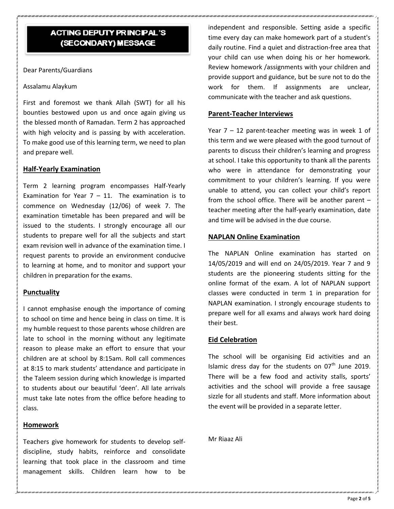## **ACTING DEPUTY PRINCIPAL'S** (SECONDARY) MESSAGE

Dear Parents/Guardians

#### Assalamu Alaykum

First and foremost we thank Allah (SWT) for all his bounties bestowed upon us and once again giving us the blessed month of Ramadan. Term 2 has approached with high velocity and is passing by with acceleration. To make good use of this learning term, we need to plan and prepare well.

#### **Half-Yearly Examination**

Term 2 learning program encompasses Half-Yearly Examination for Year  $7 - 11$ . The examination is to commence on Wednesday (12/06) of week 7. The examination timetable has been prepared and will be issued to the students. I strongly encourage all our students to prepare well for all the subjects and start exam revision well in advance of the examination time. I request parents to provide an environment conducive to learning at home, and to monitor and support your children in preparation for the exams.

#### **Punctuality**

I cannot emphasise enough the importance of coming to school on time and hence being in class on time. It is my humble request to those parents whose children are late to school in the morning without any legitimate reason to please make an effort to ensure that your children are at school by 8:15am. Roll call commences at 8:15 to mark students' attendance and participate in the Taleem session during which knowledge is imparted to students about our beautiful 'deen'. All late arrivals must take late notes from the office before heading to class.

#### **Homework**

Teachers give homework for students to develop selfdiscipline, study habits, reinforce and consolidate learning that took place in the classroom and time management skills. Children learn how to be independent and responsible. Setting aside a specific time every day can make homework part of a student's daily routine. Find a quiet and distraction-free area that your child can use when doing his or her homework. Review homework /assignments with your children and provide support and guidance, but be sure not to do the work for them. If assignments are unclear, communicate with the teacher and ask questions.

#### **Parent-Teacher Interviews**

Year  $7 - 12$  parent-teacher meeting was in week 1 of this term and we were pleased with the good turnout of parents to discuss their children's learning and progress at school. I take this opportunity to thank all the parents who were in attendance for demonstrating your commitment to your children's learning. If you were unable to attend, you can collect your child's report from the school office. There will be another parent – teacher meeting after the half-yearly examination, date and time will be advised in the due course.

#### **NAPLAN Online Examination**

The NAPLAN Online examination has started on 14/05/2019 and will end on 24/05/2019. Year 7 and 9 students are the pioneering students sitting for the online format of the exam. A lot of NAPLAN support classes were conducted in term 1 in preparation for NAPLAN examination. I strongly encourage students to prepare well for all exams and always work hard doing their best.

#### **Eid Celebration**

The school will be organising Eid activities and an Islamic dress day for the students on  $07<sup>th</sup>$  June 2019. There will be a few food and activity stalls, sports' activities and the school will provide a free sausage sizzle for all students and staff. More information about the event will be provided in a separate letter.

Mr Riaaz Ali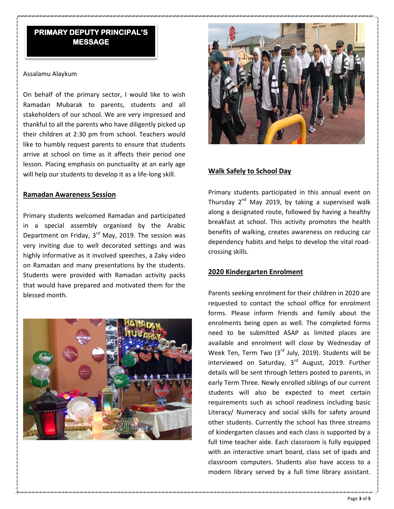# **MESSAGE**

#### Assalamu Alaykum

On behalf of the primary sector, I would like to wish Ramadan Mubarak to parents, students and all stakeholders of our school. We are very impressed and thankful to all the parents who have diligently picked up their children at 2:30 pm from school. Teachers would like to humbly request parents to ensure that students arrive at school on time as it affects their period one lesson. Placing emphasis on punctuality at an early age will help our students to develop it as a life-long skill.

#### **Ramadan Awareness Session**

Primary students welcomed Ramadan and participated in a special assembly organised by the Arabic Department on Friday,  $3<sup>rd</sup>$  May, 2019. The session was very inviting due to well decorated settings and was highly informative as it involved speeches, a Zaky video on Ramadan and many presentations by the students. Students were provided with Ramadan activity packs that would have prepared and motivated them for the blessed month.





#### **Walk Safely to School Day**

Primary students participated in this annual event on Thursday  $2^{nd}$  May 2019, by taking a supervised walk along a designated route, followed by having a healthy breakfast at school. This activity promotes the health benefits of walking, creates awareness on reducing car dependency habits and helps to develop the vital roadcrossing skills.

#### **2020 Kindergarten Enrolment**

Parents seeking enrolment for their children in 2020 are requested to contact the school office for enrolment forms. Please inform friends and family about the enrolments being open as well. The completed forms need to be submitted ASAP as limited places are available and enrolment will close by Wednesday of Week Ten, Term Two (3rd July, 2019). Students will be interviewed on Saturday,  $3<sup>rd</sup>$  August, 2019. Further details will be sent through letters posted to parents, in early Term Three. Newly enrolled siblings of our current students will also be expected to meet certain requirements such as school readiness including basic Literacy/ Numeracy and social skills for safety around other students. Currently the school has three streams of kindergarten classes and each class is supported by a full time teacher aide. Each classroom is fully equipped with an interactive smart board, class set of ipads and classroom computers. Students also have access to a **FRIMARY DEPAIRS**<br> **END ANY ONE CONSULTANTS**<br> **END ANY ONE CONSULTANTS**<br> **END ANY ONE CONSULTANTS**<br> **END ANY ONE CONSULTANTS**<br> **END ANY ONE CONSULTANTS ARE CONSULTANTS**<br> **END ANY ONE CONSULTANTS ARE CONSULTANTS AND A SUMMI**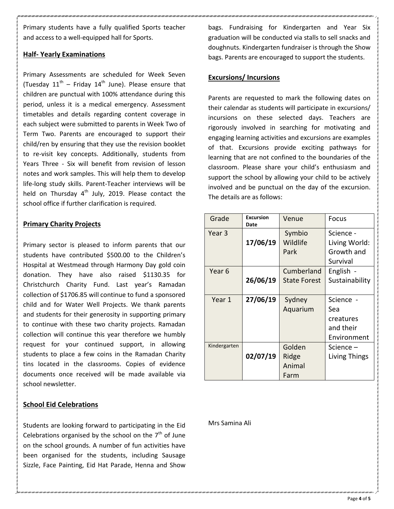Primary students have a fully qualified Sports teacher and access to a well-equipped hall for Sports.

#### **Half- Yearly Examinations**

Primary Assessments are scheduled for Week Seven (Tuesday  $11<sup>th</sup>$  – Friday  $14<sup>th</sup>$  June). Please ensure that children are punctual with 100% attendance during this period, unless it is a medical emergency. Assessment timetables and details regarding content coverage in each subject were submitted to parents in Week Two of Term Two. Parents are encouraged to support their child/ren by ensuring that they use the revision booklet to re-visit key concepts. Additionally, students from Years Three - Six will benefit from revision of lesson notes and work samples. This will help them to develop life-long study skills. Parent-Teacher interviews will be held on Thursday  $4<sup>th</sup>$  July, 2019. Please contact the school office if further clarification is required.

#### **Primary Charity Projects**

Primary sector is pleased to inform parents that our students have contributed \$500.00 to the Children's Hospital at Westmead through Harmony Day gold coin donation. They have also raised \$1130.35 for Christchurch Charity Fund. Last year's Ramadan collection of \$1706.85 will continue to fund a sponsored child and for Water Well Projects. We thank parents and students for their generosity in supporting primary to continue with these two charity projects. Ramadan collection will continue this year therefore we humbly request for your continued support, in allowing students to place a few coins in the Ramadan Charity tins located in the classrooms. Copies of evidence documents once received will be made available via school newsletter.

#### **School Eid Celebrations**

Students are looking forward to participating in the Eid Celebrations organised by the school on the  $7<sup>th</sup>$  of June on the school grounds. A number of fun activities have been organised for the students, including Sausage Sizzle, Face Painting, Eid Hat Parade, Henna and Show

bags. Fundraising for Kindergarten and Year Six graduation will be conducted via stalls to sell snacks and doughnuts. Kindergarten fundraiser is through the Show bags. Parents are encouraged to support the students.

#### **Excursions/ Incursions**

Parents are requested to mark the following dates on their calendar as students will participate in excursions/ incursions on these selected days. Teachers are rigorously involved in searching for motivating and engaging learning activities and excursions are examples of that. Excursions provide exciting pathways for learning that are not confined to the boundaries of the classroom. Please share your child's enthusiasm and support the school by allowing your child to be actively involved and be punctual on the day of the excursion. The details are as follows:

| Grade        | Excursion<br>Date | Venue                             | Focus                                                     |
|--------------|-------------------|-----------------------------------|-----------------------------------------------------------|
| Year 3       | 17/06/19          | Symbio<br>Wildlife<br>Park        | Science -<br>Living World:<br>Growth and                  |
|              |                   |                                   | Survival                                                  |
| Year 6       | 26/06/19          | Cumberland<br><b>State Forest</b> | English -<br>Sustainability                               |
| Year 1       | 27/06/19          | Sydney<br>Aquarium                | Science -<br>Sea<br>creatures<br>and their<br>Environment |
| Kindergarten | 02/07/19          | Golden<br>Ridge<br>Animal<br>Farm | Science –<br>Living Things                                |

Mrs Samina Ali